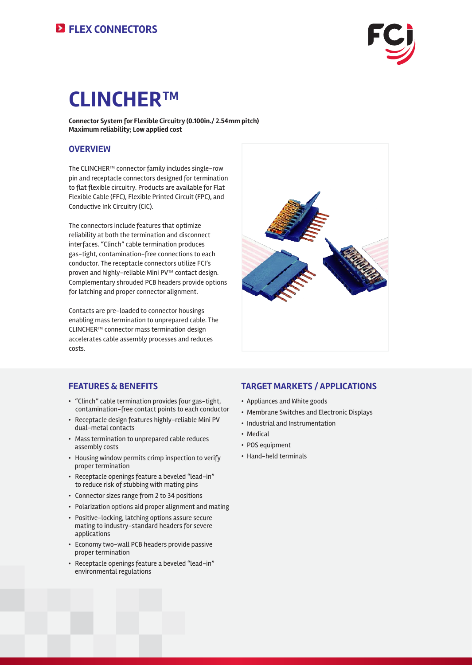

# **CLINCHER™**

**Connector System for Flexible Circuitry (0.100in./ 2.54mm pitch) Maximum reliability; Low applied cost**

### **OVERVIEW**

The CLINCHER™ connector family includes single-row pin and receptacle connectors designed for termination to flat flexible circuitry. Products are available for Flat Flexible Cable (FFC), Flexible Printed Circuit (FPC), and Conductive Ink Circuitry (CIC).

The connectors include features that optimize reliability at both the termination and disconnect interfaces. "Clinch" cable termination produces gas-tight, contamination-free connections to each conductor. The receptacle connectors utilize FCI's proven and highly-reliable Mini PV™ contact design. Complementary shrouded PCB headers provide options for latching and proper connector alignment.

Contacts are pre-loaded to connector housings enabling mass termination to unprepared cable. The CLINCHER™ connector mass termination design accelerates cable assembly processes and reduces costs.



### **FEATURES & BENEFITS**

- "Clinch" cable termination provides four gas-tight, contamination-free contact points to each conductor
- Receptacle design features highly-reliable Mini PV dual-metal contacts
- Mass termination to unprepared cable reduces assembly costs
- Housing window permits crimp inspection to verify proper termination
- Receptacle openings feature a beveled "lead-in" to reduce risk of stubbing with mating pins
- Connector sizes range from 2 to 34 positions
- Polarization options aid proper alignment and mating
- Positive-locking, latching options assure secure mating to industry-standard headers for severe applications
- Economy two-wall PCB headers provide passive proper termination
- Receptacle openings feature a beveled "lead-in" environmental regulations

### **TARGET MARKETS / APPLICATIONS**

- Appliances and White goods
- Membrane Switches and Electronic Displays
- Industrial and Instrumentation
- Medical
- POS equipment
- Hand-held terminals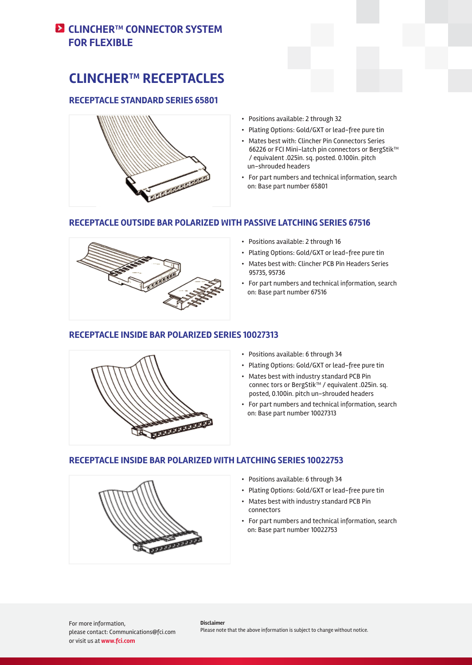### **E** CLINCHER™ CONNECTOR SYSTEM **FOR FLEXIBLE**

# **CLINCHER™ RECEPTACLES**

### **RECEPTACLE STANDARD SERIES 65801**



- Positions available: 2 through 32
- Plating Options: Gold/GXT or lead-free pure tin
- Mates best with: Clincher Pin Connectors Series 66226 or FCI Mini-latch pin connectors or BergStik™ / equivalent .025in. sq. posted. 0.100in. pitch un-shrouded headers
- For part numbers and technical information, search on: Base part number 65801

### **RECEPTACLE OUTSIDE BAR POLARIZED WITH PASSIVE LATCHING SERIES 67516**



- Positions available: 2 through 16
- Plating Options: Gold/GXT or lead-free pure tin
- Mates best with: Clincher PCB Pin Headers Series 95735, 95736
- For part numbers and technical information, search on: Base part number 67516

### **RECEPTACLE INSIDE BAR POLARIZED SERIES 10027313**



- Positions available: 6 through 34
- Plating Options: Gold/GXT or lead-free pure tin
- Mates best with industry standard PCB Pin connec tors or BergStik™ / equivalent .025in. sq. posted, 0.100in. pitch un-shrouded headers
- For part numbers and technical information, search on: Base part number 10027313

### **RECEPTACLE INSIDE BAR POLARIZED WITH LATCHING SERIES 10022753**



- Positions available: 6 through 34
- Plating Options: Gold/GXT or lead-free pure tin
- Mates best with industry standard PCB Pin connectors
- For part numbers and technical information, search on: Base part number 10022753

For more information, please contact: Communications@fci.com or visit us at **www.fci.com**

**Disclaimer** Please note that the above information is subject to change without notice.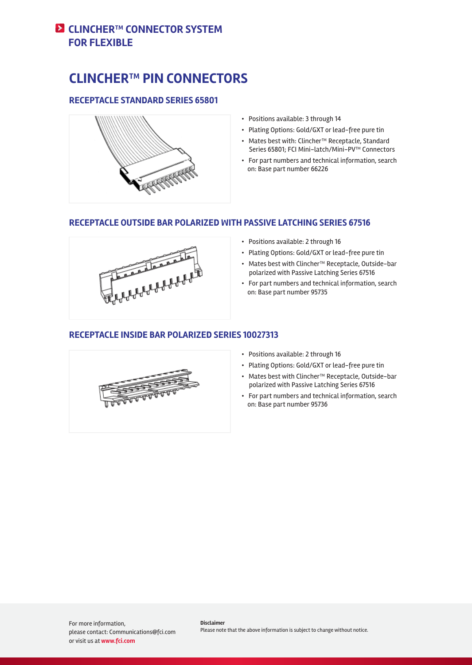### **E** CLINCHER™ CONNECTOR SYSTEM **FOR FLEXIBLE**

# **CLINCHER™ PIN CONNECTORS**

### **RECEPTACLE STANDARD SERIES 65801**



- Positions available: 3 through 14
- Plating Options: Gold/GXT or lead-free pure tin
- Mates best with: Clincher™ Receptacle, Standard Series 65801; FCI Mini-latch/Mini-PV™ Connectors
- For part numbers and technical information, search on: Base part number 66226

### **RECEPTACLE OUTSIDE BAR POLARIZED WITH PASSIVE LATCHING SERIES 67516**



- Positions available: 2 through 16
- Plating Options: Gold/GXT or lead-free pure tin
- Mates best with Clincher™ Receptacle, Outside-bar polarized with Passive Latching Series 67516
- For part numbers and technical information, search on: Base part number 95735

### **RECEPTACLE INSIDE BAR POLARIZED SERIES 10027313**



- Positions available: 2 through 16
- Plating Options: Gold/GXT or lead-free pure tin
- Mates best with Clincher™ Receptacle, Outside-bar polarized with Passive Latching Series 67516
- For part numbers and technical information, search on: Base part number 95736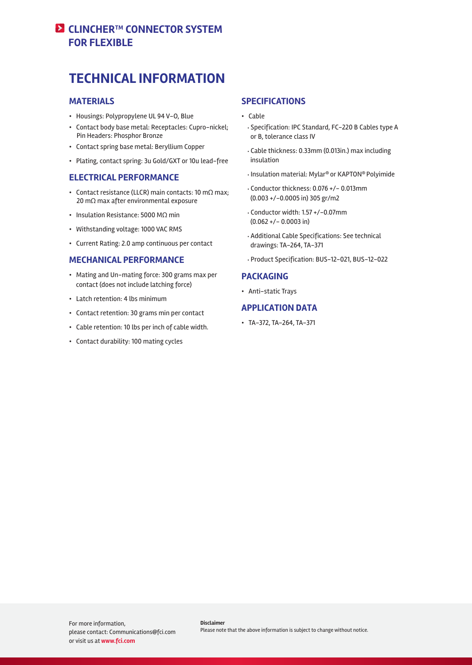### **EX CLINCHER™ CONNECTOR SYSTEM FOR FLEXIBLE**

# **TECHNICAL INFORMATION**

### **MATERIALS**

- Housings: Polypropylene UL 94 V-O, Blue
- Contact body base metal: Receptacles: Cupro-nickel; Pin Headers: Phosphor Bronze
- Contact spring base metal: Beryllium Copper
- Plating, contact spring: 3u Gold/GXT or 10u lead-free

### **ELECTRICAL PERFORMANCE**

- Contact resistance (LLCR) main contacts: 10 mΩ max; 20 mΩ max after environmental exposure
- Insulation Resistance: 5000 MΩ min
- Withstanding voltage: 1000 VAC RMS
- Current Rating: 2.0 amp continuous per contact

### **MECHANICAL PERFORMANCE**

- Mating and Un-mating force: 300 grams max per contact (does not include latching force)
- Latch retention: 4 lbs minimum
- Contact retention: 30 grams min per contact
- Cable retention: 10 lbs per inch of cable width.
- Contact durability: 100 mating cycles

#### **SPECIFICATIONS**

- Cable
	- Specification: IPC Standard, FC-220 B Cables type A or B, tolerance class IV
	- Cable thickness: 0.33mm (0.013in.) max including insulation
	- Insulation material: Mylar® or KAPTON® Polyimide
	- Conductorthickness: 0.076 +/- 0.013mm (0.003 +/-0.0005 in) 305 gr/m2
	- Conductor width: 1.57 +/-0.07mm  $(0.062 + / - 0.0003$  in)
	- Additional Cable Specifications: See technical drawings: TA-264, TA-371
	- Product Specification: BUS-12-021, BUS-12-022

### **PACKAGING**

• Anti-static Trays

### **APPLICATION DATA**

• TA-372, TA-264, TA-371